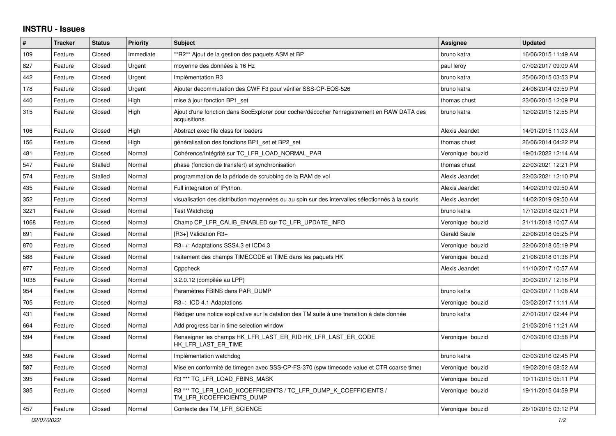## **INSTRU - Issues**

| $\#$ | <b>Tracker</b> | <b>Status</b>  | <b>Priority</b> | <b>Subject</b>                                                                                               | <b>Assignee</b>  | <b>Updated</b>      |
|------|----------------|----------------|-----------------|--------------------------------------------------------------------------------------------------------------|------------------|---------------------|
| 109  | Feature        | Closed         | Immediate       | **R2** Ajout de la gestion des paquets ASM et BP                                                             | bruno katra      | 16/06/2015 11:49 AM |
| 827  | Feature        | Closed         | Urgent          | moyenne des données à 16 Hz                                                                                  | paul leroy       | 07/02/2017 09:09 AM |
| 442  | Feature        | Closed         | Urgent          | Implémentation R3                                                                                            | bruno katra      | 25/06/2015 03:53 PM |
| 178  | Feature        | Closed         | Urgent          | Ajouter decommutation des CWF F3 pour vérifier SSS-CP-EQS-526                                                | bruno katra      | 24/06/2014 03:59 PM |
| 440  | Feature        | Closed         | High            | mise à jour fonction BP1_set                                                                                 | thomas chust     | 23/06/2015 12:09 PM |
| 315  | Feature        | Closed         | High            | Ajout d'une fonction dans SocExplorer pour cocher/décocher l'enregistrement en RAW DATA des<br>acquisitions. | bruno katra      | 12/02/2015 12:55 PM |
| 106  | Feature        | Closed         | High            | Abstract exec file class for loaders                                                                         | Alexis Jeandet   | 14/01/2015 11:03 AM |
| 156  | Feature        | Closed         | High            | généralisation des fonctions BP1 set et BP2 set                                                              | thomas chust     | 26/06/2014 04:22 PM |
| 481  | Feature        | Closed         | Normal          | Cohérence/Intégrité sur TC_LFR_LOAD_NORMAL_PAR                                                               | Veronique bouzid | 19/01/2022 12:14 AM |
| 547  | Feature        | <b>Stalled</b> | Normal          | phase (fonction de transfert) et synchronisation                                                             | thomas chust     | 22/03/2021 12:21 PM |
| 574  | Feature        | Stalled        | Normal          | programmation de la période de scrubbing de la RAM de vol                                                    | Alexis Jeandet   | 22/03/2021 12:10 PM |
| 435  | Feature        | Closed         | Normal          | Full integration of IPython.                                                                                 | Alexis Jeandet   | 14/02/2019 09:50 AM |
| 352  | Feature        | Closed         | Normal          | visualisation des distribution moyennées ou au spin sur des intervalles sélectionnés à la souris             | Alexis Jeandet   | 14/02/2019 09:50 AM |
| 3221 | Feature        | Closed         | Normal          | <b>Test Watchdog</b>                                                                                         | bruno katra      | 17/12/2018 02:01 PM |
| 1068 | Feature        | Closed         | Normal          | Champ CP_LFR_CALIB_ENABLED sur TC_LFR_UPDATE_INFO                                                            | Veronique bouzid | 21/11/2018 10:07 AM |
| 691  | Feature        | Closed         | Normal          | [R3+] Validation R3+                                                                                         | Gerald Saule     | 22/06/2018 05:25 PM |
| 870  | Feature        | Closed         | Normal          | R3++: Adaptations SSS4.3 et ICD4.3                                                                           | Veronique bouzid | 22/06/2018 05:19 PM |
| 588  | Feature        | Closed         | Normal          | traitement des champs TIMECODE et TIME dans les paquets HK                                                   | Veronique bouzid | 21/06/2018 01:36 PM |
| 877  | Feature        | Closed         | Normal          | Cppcheck                                                                                                     | Alexis Jeandet   | 11/10/2017 10:57 AM |
| 1038 | Feature        | Closed         | Normal          | 3.2.0.12 (compilée au LPP)                                                                                   |                  | 30/03/2017 12:16 PM |
| 954  | Feature        | Closed         | Normal          | Paramètres FBINS dans PAR DUMP                                                                               | bruno katra      | 02/03/2017 11:08 AM |
| 705  | Feature        | Closed         | Normal          | R3+: ICD 4.1 Adaptations                                                                                     | Veronique bouzid | 03/02/2017 11:11 AM |
| 431  | Feature        | Closed         | Normal          | Rédiger une notice explicative sur la datation des TM suite à une transition à date donnée                   | bruno katra      | 27/01/2017 02:44 PM |
| 664  | Feature        | Closed         | Normal          | Add progress bar in time selection window                                                                    |                  | 21/03/2016 11:21 AM |
| 594  | Feature        | Closed         | Normal          | Renseigner les champs HK_LFR_LAST_ER_RID HK_LFR_LAST_ER_CODE<br>HK LFR LAST ER TIME                          | Veronique bouzid | 07/03/2016 03:58 PM |
| 598  | Feature        | Closed         | Normal          | Implémentation watchdog                                                                                      | bruno katra      | 02/03/2016 02:45 PM |
| 587  | Feature        | Closed         | Normal          | Mise en conformité de timegen avec SSS-CP-FS-370 (spw timecode value et CTR coarse time)                     | Veronique bouzid | 19/02/2016 08:52 AM |
| 395  | Feature        | Closed         | Normal          | R3 *** TC LFR LOAD FBINS MASK                                                                                | Veronique bouzid | 19/11/2015 05:11 PM |
| 385  | Feature        | Closed         | Normal          | R3 *** TC_LFR_LOAD_KCOEFFICIENTS / TC_LFR_DUMP_K_COEFFICIENTS /<br>TM LFR KCOEFFICIENTS DUMP                 | Veronique bouzid | 19/11/2015 04:59 PM |
| 457  | Feature        | Closed         | Normal          | Contexte des TM LFR SCIENCE                                                                                  | Veronique bouzid | 26/10/2015 03:12 PM |